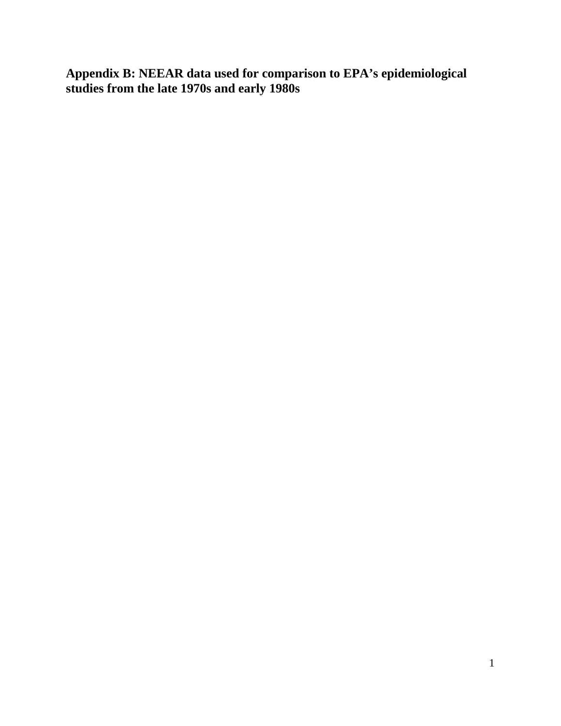**Appendix B: NEEAR data used for comparison to EPA's epidemiological studies from the late 1970s and early 1980s**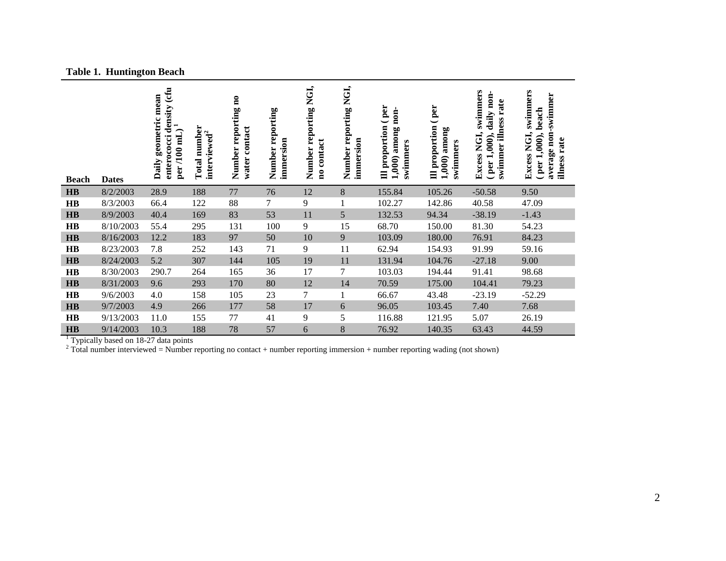|  | <b>Table 1. Huntington Beach</b> |  |
|--|----------------------------------|--|
|--|----------------------------------|--|

| <b>Beach</b> | <b>Dates</b> | (cfu<br>geometric mean<br>enterococci density<br>$\blacksquare$<br>per /100 mL)<br>Daily | Total number<br>interviewed <sup>2</sup> | Number reporting no<br>contact<br>water | Number reporting<br>immersion | NGI,<br>Number reporting<br>contact<br>$\mathbf{a}$ | NGI,<br>reporting<br>immersion<br>Number | per<br>$non-$<br>proportion<br>among<br>swimmers<br>1,000)<br>$\equiv$ | per<br>Ill proportion<br>among<br>swimmers<br>1,000 | swimmers<br>daily non-<br>rate<br>swimmer illness<br>Excess NGI,<br>$($ per 1,000), | swimmers<br>-swimmer<br>beach<br>Excess NGI,<br>per 1,000),<br>average non<br>illness rate |
|--------------|--------------|------------------------------------------------------------------------------------------|------------------------------------------|-----------------------------------------|-------------------------------|-----------------------------------------------------|------------------------------------------|------------------------------------------------------------------------|-----------------------------------------------------|-------------------------------------------------------------------------------------|--------------------------------------------------------------------------------------------|
| <b>HB</b>    | 8/2/2003     | 28.9                                                                                     | 188                                      | 77                                      | 76                            | 12                                                  | 8                                        | 155.84                                                                 | 105.26                                              | $-50.58$                                                                            | 9.50                                                                                       |
| <b>HB</b>    | 8/3/2003     | 66.4                                                                                     | 122                                      | 88                                      | 7                             | 9                                                   |                                          | 102.27                                                                 | 142.86                                              | 40.58                                                                               | 47.09                                                                                      |
| HB           | 8/9/2003     | 40.4                                                                                     | 169                                      | 83                                      | 53                            | 11                                                  | 5                                        | 132.53                                                                 | 94.34                                               | $-38.19$                                                                            | $-1.43$                                                                                    |
| <b>HB</b>    | 8/10/2003    | 55.4                                                                                     | 295                                      | 131                                     | 100                           | 9                                                   | 15                                       | 68.70                                                                  | 150.00                                              | 81.30                                                                               | 54.23                                                                                      |
| <b>HB</b>    | 8/16/2003    | 12.2                                                                                     | 183                                      | 97                                      | 50                            | 10                                                  | 9                                        | 103.09                                                                 | 180.00                                              | 76.91                                                                               | 84.23                                                                                      |
| <b>HB</b>    | 8/23/2003    | 7.8                                                                                      | 252                                      | 143                                     | 71                            | 9                                                   | 11                                       | 62.94                                                                  | 154.93                                              | 91.99                                                                               | 59.16                                                                                      |
| <b>HB</b>    | 8/24/2003    | 5.2                                                                                      | 307                                      | 144                                     | 105                           | 19                                                  | 11                                       | 131.94                                                                 | 104.76                                              | $-27.18$                                                                            | 9.00                                                                                       |
| <b>HB</b>    | 8/30/2003    | 290.7                                                                                    | 264                                      | 165                                     | 36                            | 17                                                  | 7                                        | 103.03                                                                 | 194.44                                              | 91.41                                                                               | 98.68                                                                                      |
| <b>HB</b>    | 8/31/2003    | 9.6                                                                                      | 293                                      | 170                                     | 80                            | 12                                                  | 14                                       | 70.59                                                                  | 175.00                                              | 104.41                                                                              | 79.23                                                                                      |
| <b>HB</b>    | 9/6/2003     | 4.0                                                                                      | 158                                      | 105                                     | 23                            | $\overline{7}$                                      |                                          | 66.67                                                                  | 43.48                                               | $-23.19$                                                                            | $-52.29$                                                                                   |
| HB           | 9/7/2003     | 4.9                                                                                      | 266                                      | 177                                     | 58                            | 17                                                  | 6                                        | 96.05                                                                  | 103.45                                              | 7.40                                                                                | 7.68                                                                                       |
| <b>HB</b>    | 9/13/2003    | 11.0                                                                                     | 155                                      | 77                                      | 41                            | 9                                                   | 5                                        | 116.88                                                                 | 121.95                                              | 5.07                                                                                | 26.19                                                                                      |
| <b>HB</b>    | 9/14/2003    | 10.3                                                                                     | 188                                      | 78                                      | 57                            | 6                                                   | 8                                        | 76.92                                                                  | 140.35                                              | 63.43                                                                               | 44.59                                                                                      |

<sup>1</sup> Typically based on 18-27 data points<br><sup>2</sup> Total number interviewed = Number reporting no contact + number reporting immersion + number reporting wading (not shown)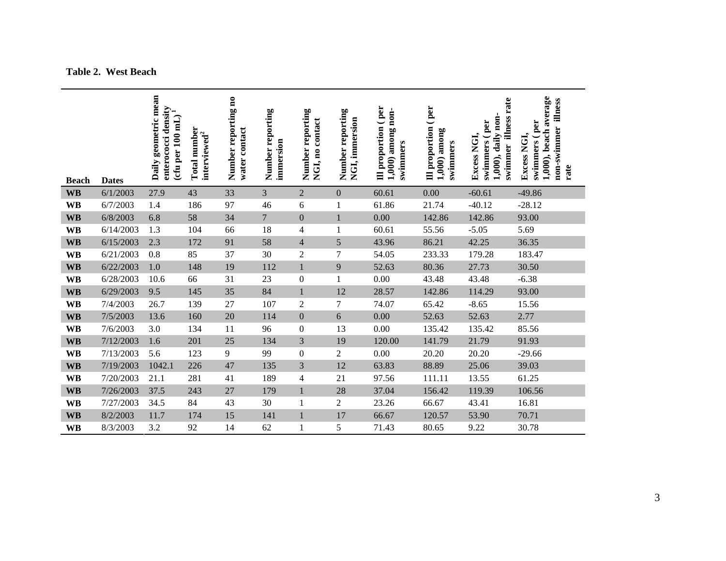**Table 2. West Beach**

| <b>Beach</b> | <b>Dates</b> | Daily geometric mean<br><b>L'anty</b><br>enterococci density<br>enterococci <del>en</del><br>(cfu per 100 mL) | number<br>interviewed <sup>2</sup><br><b>Total</b> | Number reporting no<br>water contact | Number reporting<br>immersion | Number reporting<br>NGI, no contact | Number reporting<br>NGI, immersion | Ill proportion (per<br>$1,000$ ) among non-<br>swimmers | Ill proportion (per<br>$1,000$ ) among<br>swimmers | swimmer illness rate<br>1,000), daily non-<br>swimmers (per<br>Excess NGI, | 1,000), beach average<br>non-swimmer illness<br>swimmers (per<br>Excess NGI,<br>rate |
|--------------|--------------|---------------------------------------------------------------------------------------------------------------|----------------------------------------------------|--------------------------------------|-------------------------------|-------------------------------------|------------------------------------|---------------------------------------------------------|----------------------------------------------------|----------------------------------------------------------------------------|--------------------------------------------------------------------------------------|
| <b>WB</b>    | 6/1/2003     | 27.9                                                                                                          | 43                                                 | 33                                   | 3                             | $\overline{2}$                      | $\boldsymbol{0}$                   | 60.61                                                   | 0.00                                               | $-60.61$                                                                   | $-49.86$                                                                             |
| <b>WB</b>    | 6/7/2003     | 1.4                                                                                                           | 186                                                | 97                                   | 46                            | 6                                   | $\mathbf{1}$                       | 61.86                                                   | 21.74                                              | $-40.12$                                                                   | $-28.12$                                                                             |
| <b>WB</b>    | 6/8/2003     | 6.8                                                                                                           | 58                                                 | 34                                   | $\overline{7}$                | $\boldsymbol{0}$                    | $\mathbf{1}$                       | $0.00\,$                                                | 142.86                                             | 142.86                                                                     | 93.00                                                                                |
| <b>WB</b>    | 6/14/2003    | 1.3                                                                                                           | 104                                                | 66                                   | 18                            | 4                                   | 1                                  | 60.61                                                   | 55.56                                              | $-5.05$                                                                    | 5.69                                                                                 |
| <b>WB</b>    | 6/15/2003    | 2.3                                                                                                           | 172                                                | 91                                   | 58                            | $\overline{\mathbf{4}}$             | 5                                  | 43.96                                                   | 86.21                                              | 42.25                                                                      | 36.35                                                                                |
| <b>WB</b>    | 6/21/2003    | 0.8                                                                                                           | 85                                                 | 37                                   | 30                            | $\mathfrak{2}$                      | 7                                  | 54.05                                                   | 233.33                                             | 179.28                                                                     | 183.47                                                                               |
| <b>WB</b>    | 6/22/2003    | 1.0                                                                                                           | 148                                                | 19                                   | 112                           | $\mathbf{1}$                        | 9                                  | 52.63                                                   | 80.36                                              | 27.73                                                                      | 30.50                                                                                |
| <b>WB</b>    | 6/28/2003    | 10.6                                                                                                          | 66                                                 | 31                                   | 23                            | $\boldsymbol{0}$                    | $\mathbf{1}$                       | 0.00                                                    | 43.48                                              | 43.48                                                                      | $-6.38$                                                                              |
| <b>WB</b>    | 6/29/2003    | 9.5                                                                                                           | 145                                                | 35                                   | 84                            | $\mathbf{1}$                        | 12                                 | 28.57                                                   | 142.86                                             | 114.29                                                                     | 93.00                                                                                |
| <b>WB</b>    | 7/4/2003     | 26.7                                                                                                          | 139                                                | 27                                   | 107                           | $\overline{c}$                      | 7                                  | 74.07                                                   | 65.42                                              | $-8.65$                                                                    | 15.56                                                                                |
| <b>WB</b>    | 7/5/2003     | 13.6                                                                                                          | 160                                                | 20                                   | 114                           | $\boldsymbol{0}$                    | 6                                  | 0.00                                                    | 52.63                                              | 52.63                                                                      | 2.77                                                                                 |
| <b>WB</b>    | 7/6/2003     | 3.0                                                                                                           | 134                                                | 11                                   | 96                            | $\boldsymbol{0}$                    | 13                                 | 0.00                                                    | 135.42                                             | 135.42                                                                     | 85.56                                                                                |
| <b>WB</b>    | 7/12/2003    | 1.6                                                                                                           | 201                                                | 25                                   | 134                           | 3                                   | 19                                 | 120.00                                                  | 141.79                                             | 21.79                                                                      | 91.93                                                                                |
| <b>WB</b>    | 7/13/2003    | 5.6                                                                                                           | 123                                                | 9                                    | 99                            | $\boldsymbol{0}$                    | $\overline{c}$                     | 0.00                                                    | 20.20                                              | 20.20                                                                      | $-29.66$                                                                             |
| <b>WB</b>    | 7/19/2003    | 1042.1                                                                                                        | 226                                                | 47                                   | 135                           | 3                                   | 12                                 | 63.83                                                   | 88.89                                              | 25.06                                                                      | 39.03                                                                                |
| <b>WB</b>    | 7/20/2003    | 21.1                                                                                                          | 281                                                | 41                                   | 189                           | 4                                   | 21                                 | 97.56                                                   | 111.11                                             | 13.55                                                                      | 61.25                                                                                |
| <b>WB</b>    | 7/26/2003    | 37.5                                                                                                          | 243                                                | 27                                   | 179                           | $\mathbf{1}$                        | 28                                 | 37.04                                                   | 156.42                                             | 119.39                                                                     | 106.56                                                                               |
| <b>WB</b>    | 7/27/2003    | 34.5                                                                                                          | 84                                                 | 43                                   | 30                            | $\mathbf 1$                         | $\overline{c}$                     | 23.26                                                   | 66.67                                              | 43.41                                                                      | 16.81                                                                                |
| <b>WB</b>    | 8/2/2003     | 11.7                                                                                                          | 174                                                | 15                                   | 141                           | $\mathbf{1}$                        | 17                                 | 66.67                                                   | 120.57                                             | 53.90                                                                      | 70.71                                                                                |
| <b>WB</b>    | 8/3/2003     | 3.2                                                                                                           | 92                                                 | 14                                   | 62                            | $\mathbf{1}$                        | 5                                  | 71.43                                                   | 80.65                                              | 9.22                                                                       | 30.78                                                                                |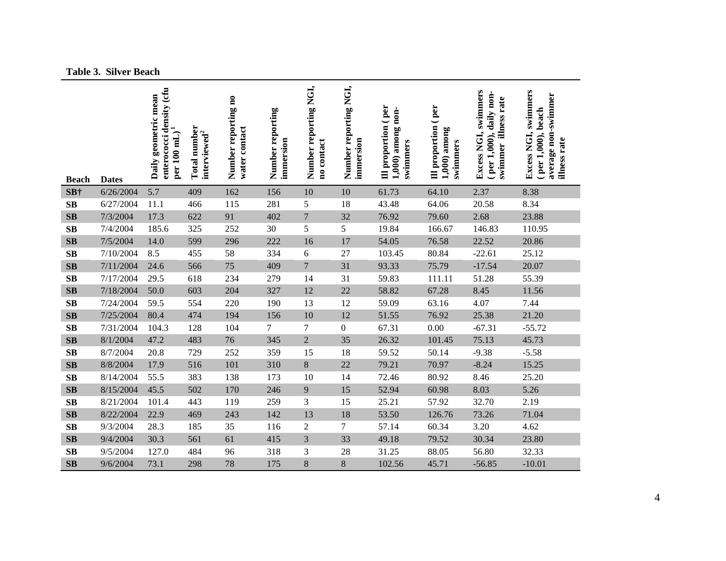**Table 3. Silver Beach**

| <b>Beach</b>           | <b>Dates</b> | enterococci density (cfu<br>Daily geometric mean<br>per 100 mL | Total number<br>interviewed <sup>2</sup> | Number reporting no<br>water contact | Number reporting<br>immersion | Number reporting NGI,<br>no contact | Number reporting NGI,<br>immersion | Ill proportion (per<br>1,000) among non-<br>swimmers | Ill proportion (per<br>$1,000$ among<br>swimmers | Excess NGI, swimmers<br>(per 1,000), daily non-<br>swimmer illness rate | swimmers<br>average non-swimmer<br>$($ per 1,000), beach<br>Excess NGI,<br>illness rate |
|------------------------|--------------|----------------------------------------------------------------|------------------------------------------|--------------------------------------|-------------------------------|-------------------------------------|------------------------------------|------------------------------------------------------|--------------------------------------------------|-------------------------------------------------------------------------|-----------------------------------------------------------------------------------------|
| SB†                    | 6/26/2004    | 5.7                                                            | 409                                      | 162                                  | 156                           | 10                                  | 10                                 | 61.73                                                | 64.10                                            | 2.37                                                                    | 8.38                                                                                    |
| SB                     | 6/27/2004    | 11.1                                                           | 466                                      | 115                                  | 281                           | 5                                   | 18                                 | 43.48                                                | 64.06                                            | 20.58                                                                   | 8.34                                                                                    |
| $\mathbf{S}\mathbf{B}$ | 7/3/2004     | 17.3                                                           | 622                                      | 91                                   | 402                           | $\boldsymbol{7}$                    | 32                                 | 76.92                                                | 79.60                                            | 2.68                                                                    | 23.88                                                                                   |
| SB                     | 7/4/2004     | 185.6                                                          | 325                                      | 252                                  | 30                            | 5                                   | 5                                  | 19.84                                                | 166.67                                           | 146.83                                                                  | 110.95                                                                                  |
| $\mathbf{S}\mathbf{B}$ | 7/5/2004     | 14.0                                                           | 599                                      | 296                                  | 222                           | 16                                  | 17                                 | 54.05                                                | 76.58                                            | 22.52                                                                   | 20.86                                                                                   |
| SB                     | 7/10/2004    | 8.5                                                            | 455                                      | 58                                   | 334                           | 6                                   | 27                                 | 103.45                                               | 80.84                                            | $-22.61$                                                                | 25.12                                                                                   |
| $\mathbf{S}\mathbf{B}$ | 7/11/2004    | 24.6                                                           | 566                                      | 75                                   | 409                           | $\overline{7}$                      | 31                                 | 93.33                                                | 75.79                                            | $-17.54$                                                                | 20.07                                                                                   |
| $\mathbf{S}\mathbf{B}$ | 7/17/2004    | 29.5                                                           | 618                                      | 234                                  | 279                           | 14                                  | 31                                 | 59.83                                                | 111.11                                           | 51.28                                                                   | 55.39                                                                                   |
| SB                     | 7/18/2004    | 50.0                                                           | 603                                      | 204                                  | 327                           | 12                                  | 22                                 | 58.82                                                | 67.28                                            | 8.45                                                                    | 11.56                                                                                   |
| SB                     | 7/24/2004    | 59.5                                                           | 554                                      | 220                                  | 190                           | 13                                  | 12                                 | 59.09                                                | 63.16                                            | 4.07                                                                    | 7.44                                                                                    |
| $\mathbf{S}\mathbf{B}$ | 7/25/2004    | 80.4                                                           | 474                                      | 194                                  | 156                           | 10                                  | 12                                 | 51.55                                                | 76.92                                            | 25.38                                                                   | 21.20                                                                                   |
| SB                     | 7/31/2004    | 104.3                                                          | 128                                      | 104                                  | 7                             | $\tau$                              | $\mathbf{0}$                       | 67.31                                                | 0.00                                             | $-67.31$                                                                | $-55.72$                                                                                |
| SB                     | 8/1/2004     | 47.2                                                           | 483                                      | 76                                   | 345                           | $\mathbf{2}$                        | 35                                 | 26.32                                                | 101.45                                           | 75.13                                                                   | 45.73                                                                                   |
| SB                     | 8/7/2004     | 20.8                                                           | 729                                      | 252                                  | 359                           | 15                                  | 18                                 | 59.52                                                | 50.14                                            | $-9.38$                                                                 | $-5.58$                                                                                 |
| $\mathbf{S}\mathbf{B}$ | 8/8/2004     | 17.9                                                           | 516                                      | 101                                  | 310                           | 8                                   | 22                                 | 79.21                                                | 70.97                                            | $-8.24$                                                                 | 15.25                                                                                   |
| $\mathbf{S}\mathbf{B}$ | 8/14/2004    | 55.5                                                           | 383                                      | 138                                  | 173                           | 10                                  | 14                                 | 72.46                                                | 80.92                                            | 8.46                                                                    | 25.20                                                                                   |
| $\mathbf{S}\mathbf{B}$ | 8/15/2004    | 45.5                                                           | 502                                      | 170                                  | 246                           | 9                                   | 15                                 | 52.94                                                | 60.98                                            | 8.03                                                                    | 5.26                                                                                    |
| SB                     | 8/21/2004    | 101.4                                                          | 443                                      | 119                                  | 259                           | 3                                   | 15                                 | 25.21                                                | 57.92                                            | 32.70                                                                   | 2.19                                                                                    |
| $\mathbf{S}\mathbf{B}$ | 8/22/2004    | 22.9                                                           | 469                                      | 243                                  | 142                           | 13                                  | 18                                 | 53.50                                                | 126.76                                           | 73.26                                                                   | 71.04                                                                                   |
| $\mathbf{S}\mathbf{B}$ | 9/3/2004     | 28.3                                                           | 185                                      | 35                                   | 116                           | $\overline{c}$                      | $\overline{7}$                     | 57.14                                                | 60.34                                            | 3.20                                                                    | 4.62                                                                                    |
| $\mathbf{S}\mathbf{B}$ | 9/4/2004     | 30.3                                                           | 561                                      | 61                                   | 415                           | 3                                   | 33                                 | 49.18                                                | 79.52                                            | 30.34                                                                   | 23.80                                                                                   |
| $\mathbf{S}\mathbf{B}$ | 9/5/2004     | 127.0                                                          | 484                                      | 96                                   | 318                           | 3                                   | 28                                 | 31.25                                                | 88.05                                            | 56.80                                                                   | 32.33                                                                                   |
| SB                     | 9/6/2004     | 73.1                                                           | 298                                      | 78                                   | 175                           | 8                                   | 8                                  | 102.56                                               | 45.71                                            | $-56.85$                                                                | $-10.01$                                                                                |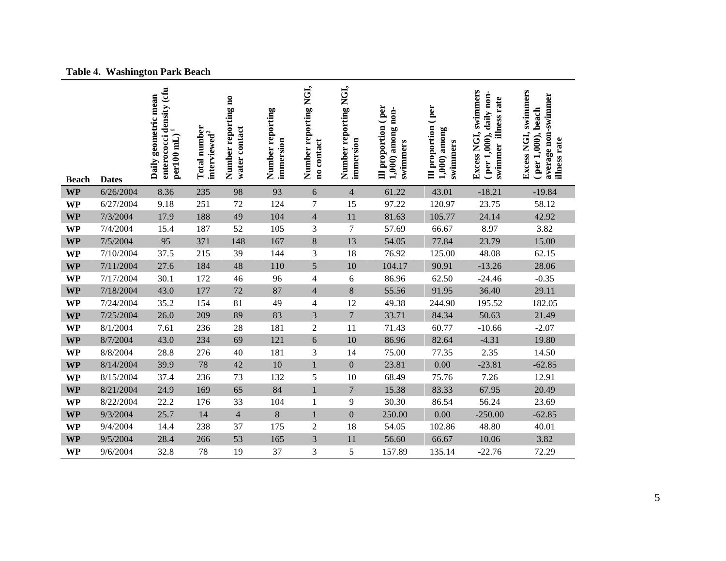|  | <b>Table 4. Washington Park Beach</b> |  |
|--|---------------------------------------|--|
|--|---------------------------------------|--|

| <b>Beach</b> | <b>Dates</b> | enterococci density (cfu<br>Daily geometric mean<br>per100 mL) | <b>Total number</b><br>interviewed <sup>2</sup> | Number reporting no<br>water contact | Number reporting<br>immersion | Number reporting NGI,<br>no contact | Number reporting NGI,<br>immersion | Ill proportion (per<br>1,000) among non-<br>swimmers | Ill proportion (per<br>$1,000$ among<br>swimmers | swimmers<br>daily non-<br>swimmer illness rate<br>Excess NGI,<br>(per 1,000), | Excess NGI, swimmers<br>average non-swimmer<br>$(per 1,000)$ , beach<br>illness rate |
|--------------|--------------|----------------------------------------------------------------|-------------------------------------------------|--------------------------------------|-------------------------------|-------------------------------------|------------------------------------|------------------------------------------------------|--------------------------------------------------|-------------------------------------------------------------------------------|--------------------------------------------------------------------------------------|
| <b>WP</b>    | 6/26/2004    | 8.36                                                           | 235                                             | 98                                   | 93                            | 6                                   | $\overline{4}$                     | 61.22                                                | 43.01                                            | $-18.21$                                                                      | $-19.84$                                                                             |
| <b>WP</b>    | 6/27/2004    | 9.18                                                           | 251                                             | 72                                   | 124                           | $\tau$                              | 15                                 | 97.22                                                | 120.97                                           | 23.75                                                                         | 58.12                                                                                |
| <b>WP</b>    | 7/3/2004     | 17.9                                                           | 188                                             | 49                                   | 104                           | $\overline{4}$                      | 11                                 | 81.63                                                | 105.77                                           | 24.14                                                                         | 42.92                                                                                |
| <b>WP</b>    | 7/4/2004     | 15.4                                                           | 187                                             | 52                                   | 105                           | 3                                   | 7                                  | 57.69                                                | 66.67                                            | 8.97                                                                          | 3.82                                                                                 |
| <b>WP</b>    | 7/5/2004     | 95                                                             | 371                                             | 148                                  | 167                           | $\bf 8$                             | 13                                 | 54.05                                                | 77.84                                            | 23.79                                                                         | 15.00                                                                                |
| <b>WP</b>    | 7/10/2004    | 37.5                                                           | 215                                             | 39                                   | 144                           | 3                                   | 18                                 | 76.92                                                | 125.00                                           | 48.08                                                                         | 62.15                                                                                |
| <b>WP</b>    | 7/11/2004    | 27.6                                                           | 184                                             | 48                                   | 110                           | 5                                   | 10                                 | 104.17                                               | 90.91                                            | $-13.26$                                                                      | 28.06                                                                                |
| <b>WP</b>    | 7/17/2004    | 30.1                                                           | 172                                             | 46                                   | 96                            | $\overline{\mathcal{L}}$            | 6                                  | 86.96                                                | 62.50                                            | $-24.46$                                                                      | $-0.35$                                                                              |
| <b>WP</b>    | 7/18/2004    | 43.0                                                           | 177                                             | 72                                   | 87                            | $\overline{4}$                      | $\,8\,$                            | 55.56                                                | 91.95                                            | 36.40                                                                         | 29.11                                                                                |
| <b>WP</b>    | 7/24/2004    | 35.2                                                           | 154                                             | 81                                   | 49                            | $\overline{4}$                      | 12                                 | 49.38                                                | 244.90                                           | 195.52                                                                        | 182.05                                                                               |
| <b>WP</b>    | 7/25/2004    | 26.0                                                           | 209                                             | 89                                   | 83                            | 3                                   | $\overline{7}$                     | 33.71                                                | 84.34                                            | 50.63                                                                         | 21.49                                                                                |
| <b>WP</b>    | 8/1/2004     | 7.61                                                           | 236                                             | 28                                   | 181                           | $\overline{2}$                      | 11                                 | 71.43                                                | 60.77                                            | $-10.66$                                                                      | $-2.07$                                                                              |
| <b>WP</b>    | 8/7/2004     | 43.0                                                           | 234                                             | 69                                   | 121                           | 6                                   | $10\,$                             | 86.96                                                | 82.64                                            | $-4.31$                                                                       | 19.80                                                                                |
| <b>WP</b>    | 8/8/2004     | 28.8                                                           | 276                                             | 40                                   | 181                           | 3                                   | 14                                 | 75.00                                                | 77.35                                            | 2.35                                                                          | 14.50                                                                                |
| <b>WP</b>    | 8/14/2004    | 39.9                                                           | 78                                              | 42                                   | 10                            | $\mathbf{1}$                        | $\boldsymbol{0}$                   | 23.81                                                | 0.00                                             | $-23.81$                                                                      | $-62.85$                                                                             |
| <b>WP</b>    | 8/15/2004    | 37.4                                                           | 236                                             | 73                                   | 132                           | $\mathfrak s$                       | 10                                 | 68.49                                                | 75.76                                            | 7.26                                                                          | 12.91                                                                                |
| <b>WP</b>    | 8/21/2004    | 24.9                                                           | 169                                             | 65                                   | 84                            | $\mathbf{1}$                        | $\overline{7}$                     | 15.38                                                | 83.33                                            | 67.95                                                                         | 20.49                                                                                |
| <b>WP</b>    | 8/22/2004    | 22.2                                                           | 176                                             | 33                                   | 104                           | 1                                   | 9                                  | 30.30                                                | 86.54                                            | 56.24                                                                         | 23.69                                                                                |
| <b>WP</b>    | 9/3/2004     | 25.7                                                           | 14                                              | $\overline{4}$                       | $\,8$                         | $\mathbf{1}$                        | $\boldsymbol{0}$                   | 250.00                                               | 0.00                                             | $-250.00$                                                                     | $-62.85$                                                                             |
| <b>WP</b>    | 9/4/2004     | 14.4                                                           | 238                                             | 37                                   | 175                           | $\overline{2}$                      | 18                                 | 54.05                                                | 102.86                                           | 48.80                                                                         | 40.01                                                                                |
| <b>WP</b>    | 9/5/2004     | 28.4                                                           | 266                                             | 53                                   | 165                           | 3                                   | 11                                 | 56.60                                                | 66.67                                            | 10.06                                                                         | 3.82                                                                                 |
| <b>WP</b>    | 9/6/2004     | 32.8                                                           | 78                                              | 19                                   | 37                            | 3                                   | 5                                  | 157.89                                               | 135.14                                           | $-22.76$                                                                      | 72.29                                                                                |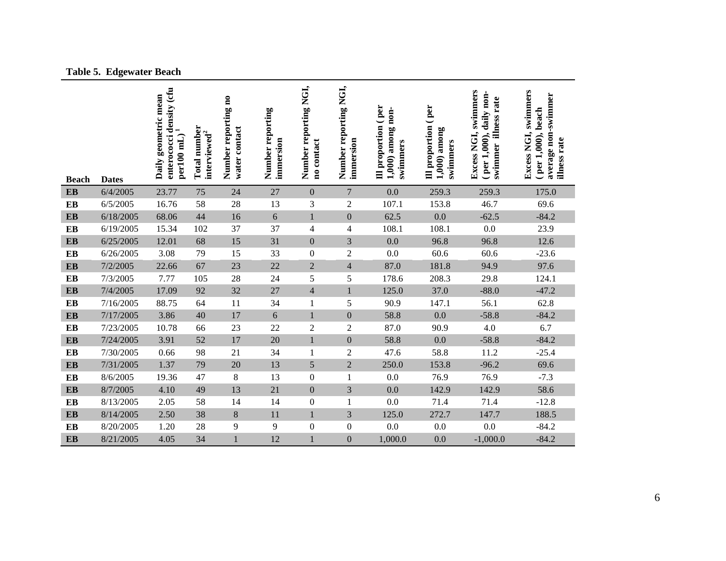|  | <b>Table 5. Edgewater Beach</b> |  |
|--|---------------------------------|--|
|--|---------------------------------|--|

| <b>Beach</b> | <b>Dates</b> | enterococci density (cfu<br>Daily geometric mean<br>per100 mL) | Total number<br>interviewed <sup>2</sup> | Number reporting no<br>water contact | Number reporting<br>immersion | Number reporting NGI,<br>no contact | Number reporting NGI,<br>immersion | Ill proportion (per<br>1,000) among non-<br>swimmers | Ill proportion (per<br>$1,000$ ) among<br>swimmers | Excess NGI, swimmers<br>(per 1,000), daily non-<br>swimmer illness rate | Excess NGI, swimmers<br>average non-swimmer<br>per 1,000), beach<br>illness rate |
|--------------|--------------|----------------------------------------------------------------|------------------------------------------|--------------------------------------|-------------------------------|-------------------------------------|------------------------------------|------------------------------------------------------|----------------------------------------------------|-------------------------------------------------------------------------|----------------------------------------------------------------------------------|
| <b>EB</b>    | 6/4/2005     | 23.77                                                          | 75                                       | 24                                   | 27                            | $\mathbf{0}$                        | $7\phantom{.0}$                    | 0.0                                                  | 259.3                                              | 259.3                                                                   | 175.0                                                                            |
| EB           | 6/5/2005     | 16.76                                                          | 58                                       | 28                                   | 13                            | $\mathfrak{Z}$                      | $\overline{c}$                     | 107.1                                                | 153.8                                              | 46.7                                                                    | 69.6                                                                             |
| EB           | 6/18/2005    | 68.06                                                          | 44                                       | 16                                   | 6                             | $\,1\,$                             | $\boldsymbol{0}$                   | 62.5                                                 | 0.0                                                | $-62.5$                                                                 | $-84.2$                                                                          |
| EB           | 6/19/2005    | 15.34                                                          | 102                                      | 37                                   | 37                            | $\overline{4}$                      | 4                                  | 108.1                                                | 108.1                                              | 0.0                                                                     | 23.9                                                                             |
| EB           | 6/25/2005    | 12.01                                                          | 68                                       | 15                                   | 31                            | $\mathbf{0}$                        | 3                                  | 0.0                                                  | 96.8                                               | 96.8                                                                    | 12.6                                                                             |
| EB           | 6/26/2005    | 3.08                                                           | 79                                       | 15                                   | 33                            | $\boldsymbol{0}$                    | $\mathfrak{2}$                     | 0.0                                                  | 60.6                                               | 60.6                                                                    | $-23.6$                                                                          |
| <b>EB</b>    | 7/2/2005     | 22.66                                                          | 67                                       | 23                                   | 22                            | $\overline{2}$                      | $\overline{4}$                     | 87.0                                                 | 181.8                                              | 94.9                                                                    | 97.6                                                                             |
| EB           | 7/3/2005     | 7.77                                                           | 105                                      | 28                                   | 24                            | 5                                   | 5                                  | 178.6                                                | 208.3                                              | 29.8                                                                    | 124.1                                                                            |
| EB           | 7/4/2005     | 17.09                                                          | 92                                       | 32                                   | 27                            | $\overline{4}$                      | $\mathbf{1}$                       | 125.0                                                | 37.0                                               | $-88.0$                                                                 | $-47.2$                                                                          |
| EB           | 7/16/2005    | 88.75                                                          | 64                                       | 11                                   | 34                            | $\mathbf{1}$                        | 5                                  | 90.9                                                 | 147.1                                              | 56.1                                                                    | 62.8                                                                             |
| <b>EB</b>    | 7/17/2005    | 3.86                                                           | 40                                       | 17                                   | 6                             | $\mathbf{1}$                        | $\mathbf{0}$                       | 58.8                                                 | 0.0                                                | $-58.8$                                                                 | $-84.2$                                                                          |
| EB           | 7/23/2005    | 10.78                                                          | 66                                       | 23                                   | 22                            | $\overline{2}$                      | $\mathfrak{2}$                     | 87.0                                                 | 90.9                                               | 4.0                                                                     | 6.7                                                                              |
| <b>EB</b>    | 7/24/2005    | 3.91                                                           | 52                                       | 17                                   | 20                            | $\mathbf{1}$                        | $\boldsymbol{0}$                   | 58.8                                                 | 0.0                                                | $-58.8$                                                                 | $-84.2$                                                                          |
| EB           | 7/30/2005    | 0.66                                                           | 98                                       | 21                                   | 34                            | $\mathbf{1}$                        | $\mathbf{2}$                       | 47.6                                                 | 58.8                                               | 11.2                                                                    | $-25.4$                                                                          |
| <b>EB</b>    | 7/31/2005    | 1.37                                                           | 79                                       | 20                                   | 13                            | 5                                   | $\overline{2}$                     | 250.0                                                | 153.8                                              | $-96.2$                                                                 | 69.6                                                                             |
| EB           | 8/6/2005     | 19.36                                                          | 47                                       | 8                                    | 13                            | $\boldsymbol{0}$                    | $\mathbf{1}$                       | 0.0                                                  | 76.9                                               | 76.9                                                                    | $-7.3$                                                                           |
| <b>EB</b>    | 8/7/2005     | 4.10                                                           | 49                                       | 13                                   | 21                            | $\boldsymbol{0}$                    | 3                                  | 0.0                                                  | 142.9                                              | 142.9                                                                   | 58.6                                                                             |
| EB           | 8/13/2005    | 2.05                                                           | 58                                       | 14                                   | 14                            | $\boldsymbol{0}$                    | $\mathbf{1}$                       | 0.0                                                  | 71.4                                               | 71.4                                                                    | $-12.8$                                                                          |
| <b>EB</b>    | 8/14/2005    | 2.50                                                           | 38                                       | 8                                    | 11                            | $\mathbf 1$                         | 3                                  | 125.0                                                | 272.7                                              | 147.7                                                                   | 188.5                                                                            |
| EB           | 8/20/2005    | 1.20                                                           | 28                                       | 9                                    | 9                             | $\boldsymbol{0}$                    | $\boldsymbol{0}$                   | 0.0                                                  | 0.0                                                | 0.0                                                                     | $-84.2$                                                                          |
| <b>EB</b>    | 8/21/2005    | 4.05                                                           | 34                                       | $\mathbf{1}$                         | 12                            | $\mathbf{1}$                        | $\mathbf{0}$                       | 1,000.0                                              | 0.0                                                | $-1,000.0$                                                              | $-84.2$                                                                          |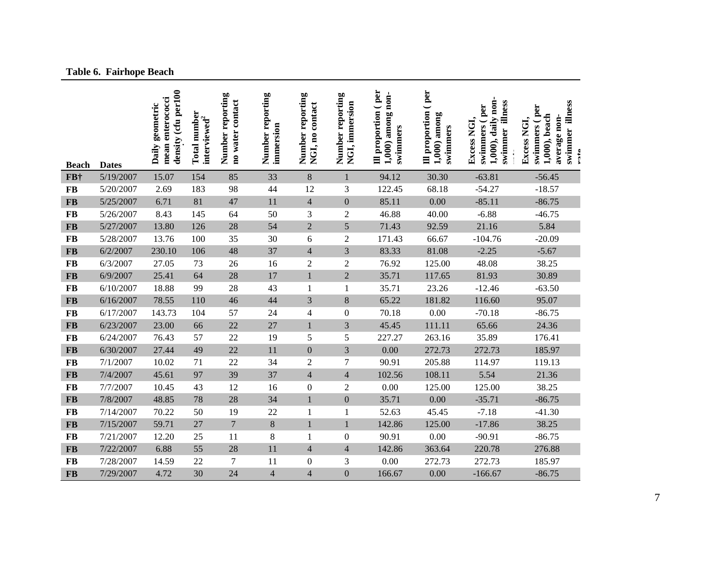## **Table 6. Fairhope Beach**

| <b>Beach</b>  | <b>Dates</b> | density (cfu per100<br>mean enterococci<br>Daily geometric | Total number<br>interviewed <sup>2</sup> | Number reporting<br>no water contact | Number reporting<br>immersion | Number reporting<br>NGI, no contact | Number reporting<br>NGI, immersion | Ill proportion (per<br>1,000) among non-<br>swimmers | Ill proportion (per<br>among<br>swimmers<br>1,000 | 1,000), daily non-<br>swimmer illness<br>swimmers (per<br>Excess NGI, | swimmer illness<br>swimmers (per<br>1,000), beach<br>average non-<br>Excess NGI,<br>rota |
|---------------|--------------|------------------------------------------------------------|------------------------------------------|--------------------------------------|-------------------------------|-------------------------------------|------------------------------------|------------------------------------------------------|---------------------------------------------------|-----------------------------------------------------------------------|------------------------------------------------------------------------------------------|
| FB+           | 5/19/2007    | 15.07                                                      | 154                                      | 85                                   | 33                            | $\,8\,$                             | $\mathbf{1}$                       | 94.12                                                | 30.30                                             | $-63.81$                                                              | $-56.45$                                                                                 |
| <b>FB</b>     | 5/20/2007    | 2.69                                                       | 183                                      | 98                                   | 44                            | 12                                  | 3                                  | 122.45                                               | 68.18                                             | $-54.27$                                                              | $-18.57$                                                                                 |
| <b>FB</b>     | 5/25/2007    | 6.71                                                       | 81                                       | 47                                   | 11                            | $\overline{4}$                      | $\boldsymbol{0}$                   | 85.11                                                | 0.00                                              | $-85.11$                                                              | $-86.75$                                                                                 |
| <b>FB</b>     | 5/26/2007    | 8.43                                                       | 145                                      | 64                                   | 50                            | 3                                   | $\overline{2}$                     | 46.88                                                | 40.00                                             | $-6.88$                                                               | $-46.75$                                                                                 |
| <b>FB</b>     | 5/27/2007    | 13.80                                                      | 126                                      | 28                                   | 54                            | $\overline{2}$                      | 5                                  | 71.43                                                | 92.59                                             | 21.16                                                                 | 5.84                                                                                     |
| <b>FB</b>     | 5/28/2007    | 13.76                                                      | 100                                      | 35                                   | 30                            | 6                                   | $\overline{2}$                     | 171.43                                               | 66.67                                             | $-104.76$                                                             | $-20.09$                                                                                 |
| <b>FB</b>     | 6/2/2007     | 230.10                                                     | 106                                      | 48                                   | 37                            | $\overline{4}$                      | 3                                  | 83.33                                                | 81.08                                             | $-2.25$                                                               | $-5.67$                                                                                  |
| FB            | 6/3/2007     | 27.05                                                      | 73                                       | 26                                   | 16                            | $\overline{2}$                      | $\overline{2}$                     | 76.92                                                | 125.00                                            | 48.08                                                                 | 38.25                                                                                    |
| $\mathbf{FB}$ | 6/9/2007     | 25.41                                                      | 64                                       | 28                                   | 17                            | $\mathbf{1}$                        | $\overline{2}$                     | 35.71                                                | 117.65                                            | 81.93                                                                 | 30.89                                                                                    |
| <b>FB</b>     | 6/10/2007    | 18.88                                                      | 99                                       | 28                                   | 43                            | $\mathbf{1}$                        | $\mathbf{1}$                       | 35.71                                                | 23.26                                             | $-12.46$                                                              | $-63.50$                                                                                 |
| $\bf FB$      | 6/16/2007    | 78.55                                                      | 110                                      | 46                                   | 44                            | $\overline{3}$                      | $\,8\,$                            | 65.22                                                | 181.82                                            | 116.60                                                                | 95.07                                                                                    |
| <b>FB</b>     | 6/17/2007    | 143.73                                                     | 104                                      | 57                                   | 24                            | $\overline{4}$                      | $\boldsymbol{0}$                   | 70.18                                                | 0.00                                              | $-70.18$                                                              | $-86.75$                                                                                 |
| <b>FB</b>     | 6/23/2007    | 23.00                                                      | 66                                       | 22                                   | 27                            | $\mathbf{1}$                        | 3                                  | 45.45                                                | 111.11                                            | 65.66                                                                 | 24.36                                                                                    |
| <b>FB</b>     | 6/24/2007    | 76.43                                                      | 57                                       | 22                                   | 19                            | 5                                   | 5                                  | 227.27                                               | 263.16                                            | 35.89                                                                 | 176.41                                                                                   |
| <b>FB</b>     | 6/30/2007    | 27.44                                                      | 49                                       | 22                                   | 11                            | $\mathbf{0}$                        | 3                                  | 0.00                                                 | 272.73                                            | 272.73                                                                | 185.97                                                                                   |
| <b>FB</b>     | 7/1/2007     | 10.02                                                      | 71                                       | 22                                   | 34                            | $\overline{2}$                      | 7                                  | 90.91                                                | 205.88                                            | 114.97                                                                | 119.13                                                                                   |
| <b>FB</b>     | 7/4/2007     | 45.61                                                      | 97                                       | 39                                   | 37                            | $\overline{4}$                      | $\overline{4}$                     | 102.56                                               | 108.11                                            | 5.54                                                                  | 21.36                                                                                    |
| <b>FB</b>     | 7/7/2007     | 10.45                                                      | 43                                       | 12                                   | 16                            | $\boldsymbol{0}$                    | $\overline{2}$                     | 0.00                                                 | 125.00                                            | 125.00                                                                | 38.25                                                                                    |
| $\bf FB$      | 7/8/2007     | 48.85                                                      | 78                                       | 28                                   | 34                            | $\mathbf{1}$                        | $\boldsymbol{0}$                   | 35.71                                                | 0.00                                              | $-35.71$                                                              | $-86.75$                                                                                 |
| <b>FB</b>     | 7/14/2007    | 70.22                                                      | 50                                       | 19                                   | 22                            | $\mathbf{1}$                        | $\mathbf{1}$                       | 52.63                                                | 45.45                                             | $-7.18$                                                               | $-41.30$                                                                                 |
| $\bf FB$      | 7/15/2007    | 59.71                                                      | 27                                       | $\overline{7}$                       | $\,8\,$                       | $\mathbf{1}$                        | $\mathbf{1}$                       | 142.86                                               | 125.00                                            | $-17.86$                                                              | 38.25                                                                                    |
| <b>FB</b>     | 7/21/2007    | 12.20                                                      | 25                                       | 11                                   | $8\,$                         | 1                                   | $\mathbf{0}$                       | 90.91                                                | 0.00                                              | $-90.91$                                                              | $-86.75$                                                                                 |
| <b>FB</b>     | 7/22/2007    | 6.88                                                       | 55                                       | 28                                   | 11                            | $\overline{4}$                      | $\overline{4}$                     | 142.86                                               | 363.64                                            | 220.78                                                                | 276.88                                                                                   |
| <b>FB</b>     | 7/28/2007    | 14.59                                                      | 22                                       | $\tau$                               | 11                            | $\theta$                            | 3                                  | 0.00                                                 | 272.73                                            | 272.73                                                                | 185.97                                                                                   |
| <b>FB</b>     | 7/29/2007    | 4.72                                                       | 30                                       | 24                                   | 4                             | $\overline{4}$                      | $\boldsymbol{0}$                   | 166.67                                               | 0.00                                              | $-166.67$                                                             | $-86.75$                                                                                 |